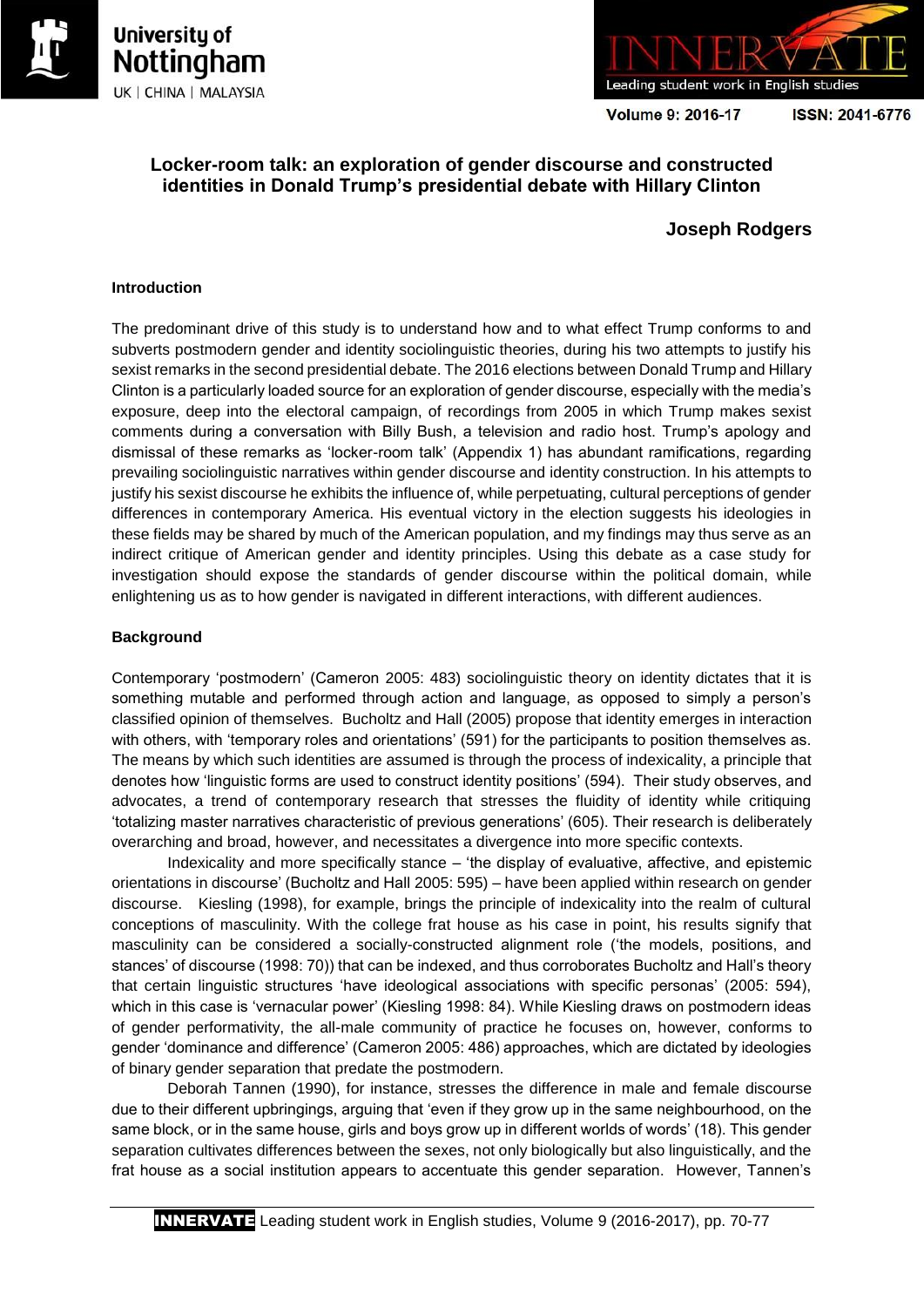



Volume 9: 2016-17

ISSN: 2041-6776

# **Locker-room talk: an exploration of gender discourse and constructed identities in Donald Trump's presidential debate with Hillary Clinton**

# **Joseph Rodgers**

## **Introduction**

The predominant drive of this study is to understand how and to what effect Trump conforms to and subverts postmodern gender and identity sociolinguistic theories, during his two attempts to justify his sexist remarks in the second presidential debate. The 2016 elections between Donald Trump and Hillary Clinton is a particularly loaded source for an exploration of gender discourse, especially with the media's exposure, deep into the electoral campaign, of recordings from 2005 in which Trump makes sexist comments during a conversation with Billy Bush, a television and radio host. Trump's apology and dismissal of these remarks as 'locker-room talk' (Appendix 1) has abundant ramifications, regarding prevailing sociolinguistic narratives within gender discourse and identity construction. In his attempts to justify his sexist discourse he exhibits the influence of, while perpetuating, cultural perceptions of gender differences in contemporary America. His eventual victory in the election suggests his ideologies in these fields may be shared by much of the American population, and my findings may thus serve as an indirect critique of American gender and identity principles. Using this debate as a case study for investigation should expose the standards of gender discourse within the political domain, while enlightening us as to how gender is navigated in different interactions, with different audiences.

## **Background**

Contemporary 'postmodern' (Cameron 2005: 483) sociolinguistic theory on identity dictates that it is something mutable and performed through action and language, as opposed to simply a person's classified opinion of themselves. Bucholtz and Hall (2005) propose that identity emerges in interaction with others, with 'temporary roles and orientations' (591) for the participants to position themselves as. The means by which such identities are assumed is through the process of indexicality, a principle that denotes how 'linguistic forms are used to construct identity positions' (594). Their study observes, and advocates, a trend of contemporary research that stresses the fluidity of identity while critiquing 'totalizing master narratives characteristic of previous generations' (605). Their research is deliberately overarching and broad, however, and necessitates a divergence into more specific contexts.

Indexicality and more specifically stance – 'the display of evaluative, affective, and epistemic orientations in discourse' (Bucholtz and Hall 2005: 595) – have been applied within research on gender discourse. Kiesling (1998), for example, brings the principle of indexicality into the realm of cultural conceptions of masculinity. With the college frat house as his case in point, his results signify that masculinity can be considered a socially-constructed alignment role ('the models, positions, and stances' of discourse (1998: 70)) that can be indexed, and thus corroborates Bucholtz and Hall's theory that certain linguistic structures 'have ideological associations with specific personas' (2005: 594), which in this case is 'vernacular power' (Kiesling 1998: 84). While Kiesling draws on postmodern ideas of gender performativity, the all-male community of practice he focuses on, however, conforms to gender 'dominance and difference' (Cameron 2005: 486) approaches, which are dictated by ideologies of binary gender separation that predate the postmodern.

Deborah Tannen (1990), for instance, stresses the difference in male and female discourse due to their different upbringings, arguing that 'even if they grow up in the same neighbourhood, on the same block, or in the same house, girls and boys grow up in different worlds of words' (18). This gender separation cultivates differences between the sexes, not only biologically but also linguistically, and the frat house as a social institution appears to accentuate this gender separation. However, Tannen's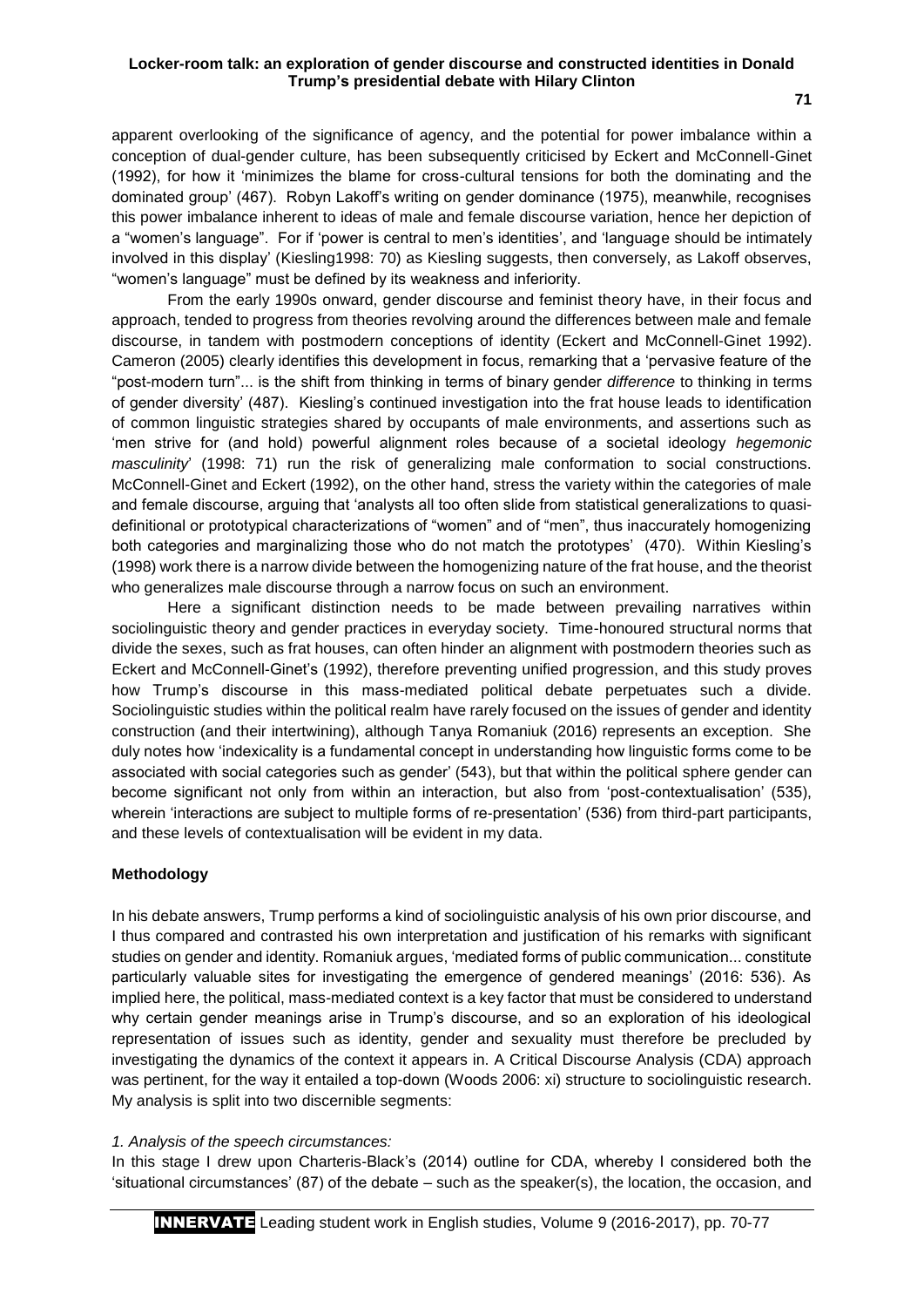apparent overlooking of the significance of agency, and the potential for power imbalance within a conception of dual-gender culture, has been subsequently criticised by Eckert and McConnell-Ginet (1992), for how it 'minimizes the blame for cross-cultural tensions for both the dominating and the dominated group' (467). Robyn Lakoff's writing on gender dominance (1975), meanwhile, recognises this power imbalance inherent to ideas of male and female discourse variation, hence her depiction of a "women's language". For if 'power is central to men's identities', and 'language should be intimately involved in this display' (Kiesling1998: 70) as Kiesling suggests, then conversely, as Lakoff observes, "women's language" must be defined by its weakness and inferiority.

From the early 1990s onward, gender discourse and feminist theory have, in their focus and approach, tended to progress from theories revolving around the differences between male and female discourse, in tandem with postmodern conceptions of identity (Eckert and McConnell-Ginet 1992). Cameron (2005) clearly identifies this development in focus, remarking that a 'pervasive feature of the "post-modern turn"... is the shift from thinking in terms of binary gender *difference* to thinking in terms of gender diversity' (487). Kiesling's continued investigation into the frat house leads to identification of common linguistic strategies shared by occupants of male environments, and assertions such as 'men strive for (and hold) powerful alignment roles because of a societal ideology *hegemonic masculinity*' (1998: 71) run the risk of generalizing male conformation to social constructions. McConnell-Ginet and Eckert (1992), on the other hand, stress the variety within the categories of male and female discourse, arguing that 'analysts all too often slide from statistical generalizations to quasidefinitional or prototypical characterizations of "women" and of "men", thus inaccurately homogenizing both categories and marginalizing those who do not match the prototypes' (470). Within Kiesling's (1998) work there is a narrow divide between the homogenizing nature of the frat house, and the theorist who generalizes male discourse through a narrow focus on such an environment.

Here a significant distinction needs to be made between prevailing narratives within sociolinguistic theory and gender practices in everyday society. Time-honoured structural norms that divide the sexes, such as frat houses, can often hinder an alignment with postmodern theories such as Eckert and McConnell-Ginet's (1992), therefore preventing unified progression, and this study proves how Trump's discourse in this mass-mediated political debate perpetuates such a divide. Sociolinguistic studies within the political realm have rarely focused on the issues of gender and identity construction (and their intertwining), although Tanya Romaniuk (2016) represents an exception. She duly notes how 'indexicality is a fundamental concept in understanding how linguistic forms come to be associated with social categories such as gender' (543), but that within the political sphere gender can become significant not only from within an interaction, but also from 'post-contextualisation' (535), wherein 'interactions are subject to multiple forms of re-presentation' (536) from third-part participants, and these levels of contextualisation will be evident in my data.

#### **Methodology**

In his debate answers, Trump performs a kind of sociolinguistic analysis of his own prior discourse, and I thus compared and contrasted his own interpretation and justification of his remarks with significant studies on gender and identity. Romaniuk argues, 'mediated forms of public communication... constitute particularly valuable sites for investigating the emergence of gendered meanings' (2016: 536). As implied here, the political, mass-mediated context is a key factor that must be considered to understand why certain gender meanings arise in Trump's discourse, and so an exploration of his ideological representation of issues such as identity, gender and sexuality must therefore be precluded by investigating the dynamics of the context it appears in. A Critical Discourse Analysis (CDA) approach was pertinent, for the way it entailed a top-down (Woods 2006: xi) structure to sociolinguistic research. My analysis is split into two discernible segments:

#### *1. Analysis of the speech circumstances:*

In this stage I drew upon Charteris-Black's (2014) outline for CDA, whereby I considered both the 'situational circumstances' (87) of the debate – such as the speaker(s), the location, the occasion, and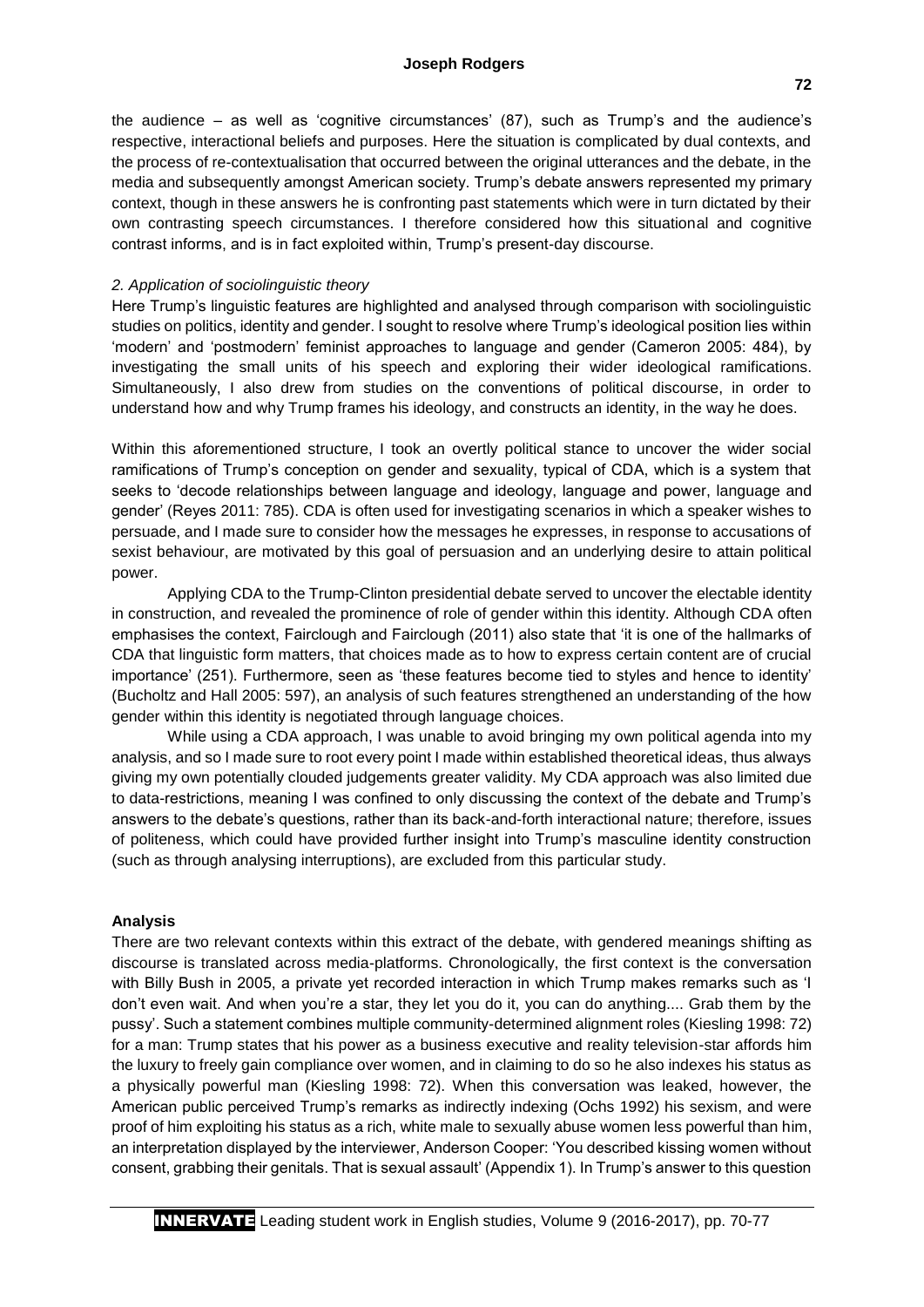the audience – as well as 'cognitive circumstances' (87), such as Trump's and the audience's respective, interactional beliefs and purposes. Here the situation is complicated by dual contexts, and the process of re-contextualisation that occurred between the original utterances and the debate, in the media and subsequently amongst American society. Trump's debate answers represented my primary context, though in these answers he is confronting past statements which were in turn dictated by their own contrasting speech circumstances. I therefore considered how this situational and cognitive contrast informs, and is in fact exploited within, Trump's present-day discourse.

## *2. Application of sociolinguistic theory*

Here Trump's linguistic features are highlighted and analysed through comparison with sociolinguistic studies on politics, identity and gender. I sought to resolve where Trump's ideological position lies within 'modern' and 'postmodern' feminist approaches to language and gender (Cameron 2005: 484), by investigating the small units of his speech and exploring their wider ideological ramifications. Simultaneously, I also drew from studies on the conventions of political discourse, in order to understand how and why Trump frames his ideology, and constructs an identity, in the way he does.

Within this aforementioned structure, I took an overtly political stance to uncover the wider social ramifications of Trump's conception on gender and sexuality, typical of CDA, which is a system that seeks to 'decode relationships between language and ideology, language and power, language and gender' (Reyes 2011: 785). CDA is often used for investigating scenarios in which a speaker wishes to persuade, and I made sure to consider how the messages he expresses, in response to accusations of sexist behaviour, are motivated by this goal of persuasion and an underlying desire to attain political power.

Applying CDA to the Trump-Clinton presidential debate served to uncover the electable identity in construction, and revealed the prominence of role of gender within this identity. Although CDA often emphasises the context, Fairclough and Fairclough (2011) also state that 'it is one of the hallmarks of CDA that linguistic form matters, that choices made as to how to express certain content are of crucial importance' (251). Furthermore, seen as 'these features become tied to styles and hence to identity' (Bucholtz and Hall 2005: 597), an analysis of such features strengthened an understanding of the how gender within this identity is negotiated through language choices.

While using a CDA approach, I was unable to avoid bringing my own political agenda into my analysis, and so I made sure to root every point I made within established theoretical ideas, thus always giving my own potentially clouded judgements greater validity. My CDA approach was also limited due to data-restrictions, meaning I was confined to only discussing the context of the debate and Trump's answers to the debate's questions, rather than its back-and-forth interactional nature; therefore, issues of politeness, which could have provided further insight into Trump's masculine identity construction (such as through analysing interruptions), are excluded from this particular study.

## **Analysis**

There are two relevant contexts within this extract of the debate, with gendered meanings shifting as discourse is translated across media-platforms. Chronologically, the first context is the conversation with Billy Bush in 2005, a private yet recorded interaction in which Trump makes remarks such as 'I don't even wait. And when you're a star, they let you do it, you can do anything.... Grab them by the pussy'. Such a statement combines multiple community-determined alignment roles (Kiesling 1998: 72) for a man: Trump states that his power as a business executive and reality television-star affords him the luxury to freely gain compliance over women, and in claiming to do so he also indexes his status as a physically powerful man (Kiesling 1998: 72). When this conversation was leaked, however, the American public perceived Trump's remarks as indirectly indexing (Ochs 1992) his sexism, and were proof of him exploiting his status as a rich, white male to sexually abuse women less powerful than him, an interpretation displayed by the interviewer, Anderson Cooper: 'You described kissing women without consent, grabbing their genitals. That is sexual assault' (Appendix 1). In Trump's answer to this question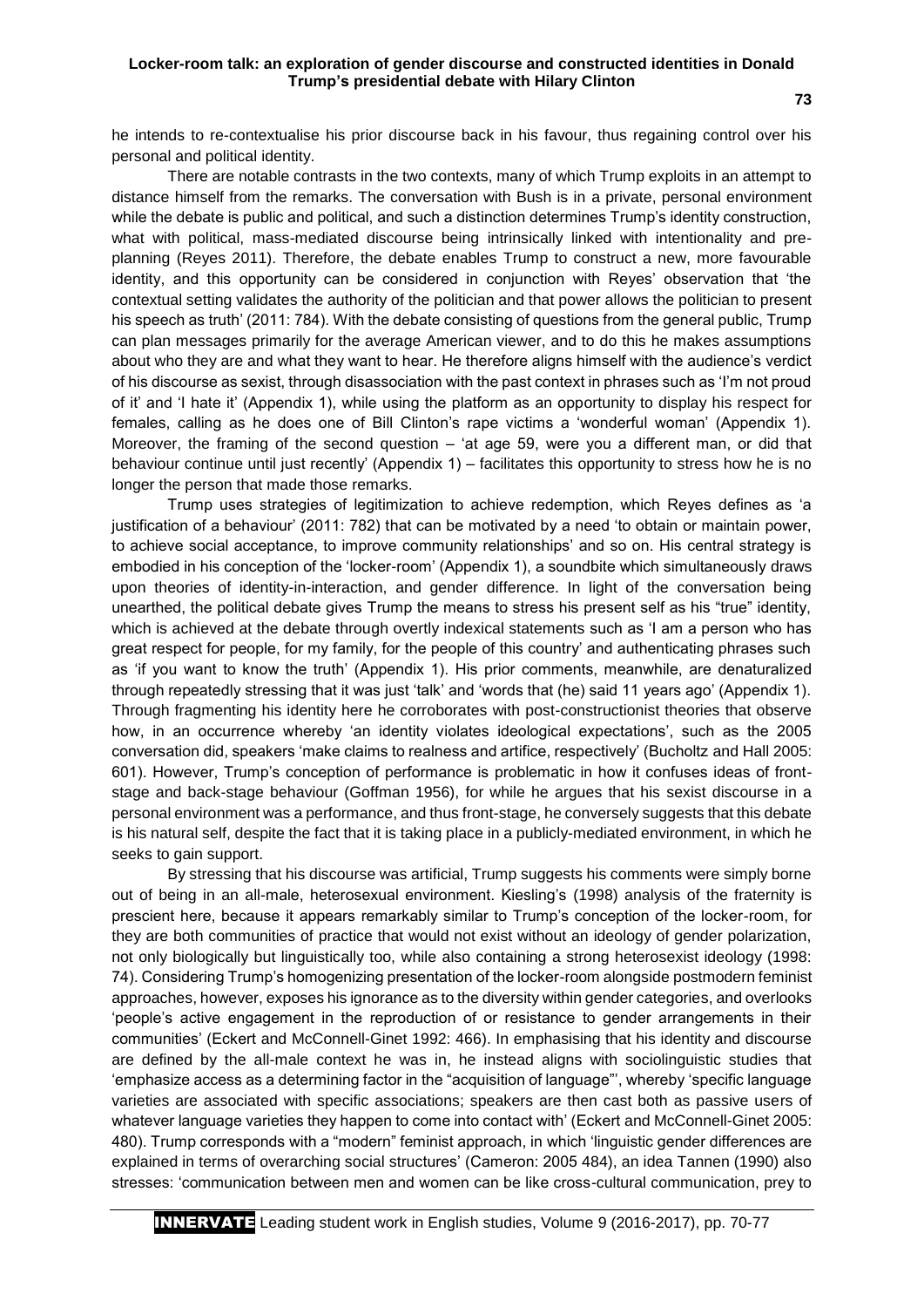he intends to re-contextualise his prior discourse back in his favour, thus regaining control over his personal and political identity.

There are notable contrasts in the two contexts, many of which Trump exploits in an attempt to distance himself from the remarks. The conversation with Bush is in a private, personal environment while the debate is public and political, and such a distinction determines Trump's identity construction, what with political, mass-mediated discourse being intrinsically linked with intentionality and preplanning (Reyes 2011). Therefore, the debate enables Trump to construct a new, more favourable identity, and this opportunity can be considered in conjunction with Reyes' observation that 'the contextual setting validates the authority of the politician and that power allows the politician to present his speech as truth' (2011: 784). With the debate consisting of questions from the general public, Trump can plan messages primarily for the average American viewer, and to do this he makes assumptions about who they are and what they want to hear. He therefore aligns himself with the audience's verdict of his discourse as sexist, through disassociation with the past context in phrases such as 'I'm not proud of it' and 'I hate it' (Appendix 1), while using the platform as an opportunity to display his respect for females, calling as he does one of Bill Clinton's rape victims a 'wonderful woman' (Appendix 1). Moreover, the framing of the second question – 'at age 59, were you a different man, or did that behaviour continue until just recently' (Appendix 1) – facilitates this opportunity to stress how he is no longer the person that made those remarks.

Trump uses strategies of legitimization to achieve redemption, which Reyes defines as 'a justification of a behaviour' (2011: 782) that can be motivated by a need 'to obtain or maintain power, to achieve social acceptance, to improve community relationships' and so on. His central strategy is embodied in his conception of the 'locker-room' (Appendix 1), a soundbite which simultaneously draws upon theories of identity-in-interaction, and gender difference. In light of the conversation being unearthed, the political debate gives Trump the means to stress his present self as his "true" identity, which is achieved at the debate through overtly indexical statements such as 'I am a person who has great respect for people, for my family, for the people of this country' and authenticating phrases such as 'if you want to know the truth' (Appendix 1). His prior comments, meanwhile, are denaturalized through repeatedly stressing that it was just 'talk' and 'words that (he) said 11 years ago' (Appendix 1). Through fragmenting his identity here he corroborates with post-constructionist theories that observe how, in an occurrence whereby 'an identity violates ideological expectations', such as the 2005 conversation did, speakers 'make claims to realness and artifice, respectively' (Bucholtz and Hall 2005: 601). However, Trump's conception of performance is problematic in how it confuses ideas of frontstage and back-stage behaviour (Goffman 1956), for while he argues that his sexist discourse in a personal environment was a performance, and thus front-stage, he conversely suggests that this debate is his natural self, despite the fact that it is taking place in a publicly-mediated environment, in which he seeks to gain support.

By stressing that his discourse was artificial, Trump suggests his comments were simply borne out of being in an all-male, heterosexual environment. Kiesling's (1998) analysis of the fraternity is prescient here, because it appears remarkably similar to Trump's conception of the locker-room, for they are both communities of practice that would not exist without an ideology of gender polarization, not only biologically but linguistically too, while also containing a strong heterosexist ideology (1998: 74). Considering Trump's homogenizing presentation of the locker-room alongside postmodern feminist approaches, however, exposes his ignorance as to the diversity within gender categories, and overlooks 'people's active engagement in the reproduction of or resistance to gender arrangements in their communities' (Eckert and McConnell-Ginet 1992: 466). In emphasising that his identity and discourse are defined by the all-male context he was in, he instead aligns with sociolinguistic studies that 'emphasize access as a determining factor in the "acquisition of language"', whereby 'specific language varieties are associated with specific associations; speakers are then cast both as passive users of whatever language varieties they happen to come into contact with' (Eckert and McConnell-Ginet 2005: 480). Trump corresponds with a "modern" feminist approach, in which 'linguistic gender differences are explained in terms of overarching social structures' (Cameron: 2005 484), an idea Tannen (1990) also stresses: 'communication between men and women can be like cross-cultural communication, prey to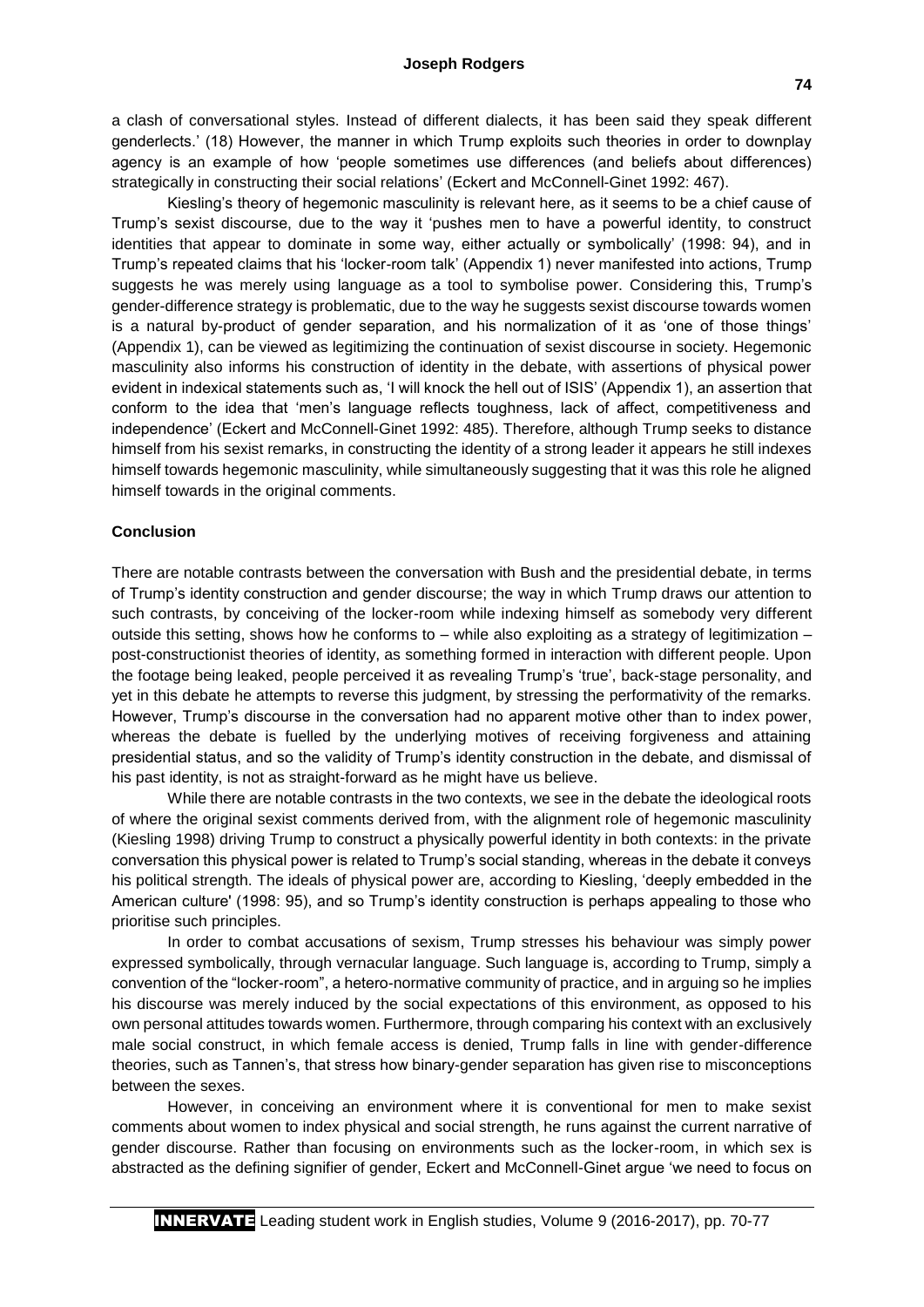#### **Joseph Rodgers**

a clash of conversational styles. Instead of different dialects, it has been said they speak different genderlects.' (18) However, the manner in which Trump exploits such theories in order to downplay agency is an example of how 'people sometimes use differences (and beliefs about differences) strategically in constructing their social relations' (Eckert and McConnell-Ginet 1992: 467).

Kiesling's theory of hegemonic masculinity is relevant here, as it seems to be a chief cause of Trump's sexist discourse, due to the way it 'pushes men to have a powerful identity, to construct identities that appear to dominate in some way, either actually or symbolically' (1998: 94), and in Trump's repeated claims that his 'locker-room talk' (Appendix 1) never manifested into actions, Trump suggests he was merely using language as a tool to symbolise power. Considering this, Trump's gender-difference strategy is problematic, due to the way he suggests sexist discourse towards women is a natural by-product of gender separation, and his normalization of it as 'one of those things' (Appendix 1), can be viewed as legitimizing the continuation of sexist discourse in society. Hegemonic masculinity also informs his construction of identity in the debate, with assertions of physical power evident in indexical statements such as, 'I will knock the hell out of ISIS' (Appendix 1), an assertion that conform to the idea that 'men's language reflects toughness, lack of affect, competitiveness and independence' (Eckert and McConnell-Ginet 1992: 485). Therefore, although Trump seeks to distance himself from his sexist remarks, in constructing the identity of a strong leader it appears he still indexes himself towards hegemonic masculinity, while simultaneously suggesting that it was this role he aligned himself towards in the original comments.

#### **Conclusion**

There are notable contrasts between the conversation with Bush and the presidential debate, in terms of Trump's identity construction and gender discourse; the way in which Trump draws our attention to such contrasts, by conceiving of the locker-room while indexing himself as somebody very different outside this setting, shows how he conforms to – while also exploiting as a strategy of legitimization – post-constructionist theories of identity, as something formed in interaction with different people. Upon the footage being leaked, people perceived it as revealing Trump's 'true', back-stage personality, and yet in this debate he attempts to reverse this judgment, by stressing the performativity of the remarks. However, Trump's discourse in the conversation had no apparent motive other than to index power, whereas the debate is fuelled by the underlying motives of receiving forgiveness and attaining presidential status, and so the validity of Trump's identity construction in the debate, and dismissal of his past identity, is not as straight-forward as he might have us believe.

While there are notable contrasts in the two contexts, we see in the debate the ideological roots of where the original sexist comments derived from, with the alignment role of hegemonic masculinity (Kiesling 1998) driving Trump to construct a physically powerful identity in both contexts: in the private conversation this physical power is related to Trump's social standing, whereas in the debate it conveys his political strength. The ideals of physical power are, according to Kiesling, 'deeply embedded in the American culture' (1998: 95), and so Trump's identity construction is perhaps appealing to those who prioritise such principles.

In order to combat accusations of sexism, Trump stresses his behaviour was simply power expressed symbolically, through vernacular language. Such language is, according to Trump, simply a convention of the "locker-room", a hetero-normative community of practice, and in arguing so he implies his discourse was merely induced by the social expectations of this environment, as opposed to his own personal attitudes towards women. Furthermore, through comparing his context with an exclusively male social construct, in which female access is denied, Trump falls in line with gender-difference theories, such as Tannen's, that stress how binary-gender separation has given rise to misconceptions between the sexes.

However, in conceiving an environment where it is conventional for men to make sexist comments about women to index physical and social strength, he runs against the current narrative of gender discourse. Rather than focusing on environments such as the locker-room, in which sex is abstracted as the defining signifier of gender, Eckert and McConnell-Ginet argue 'we need to focus on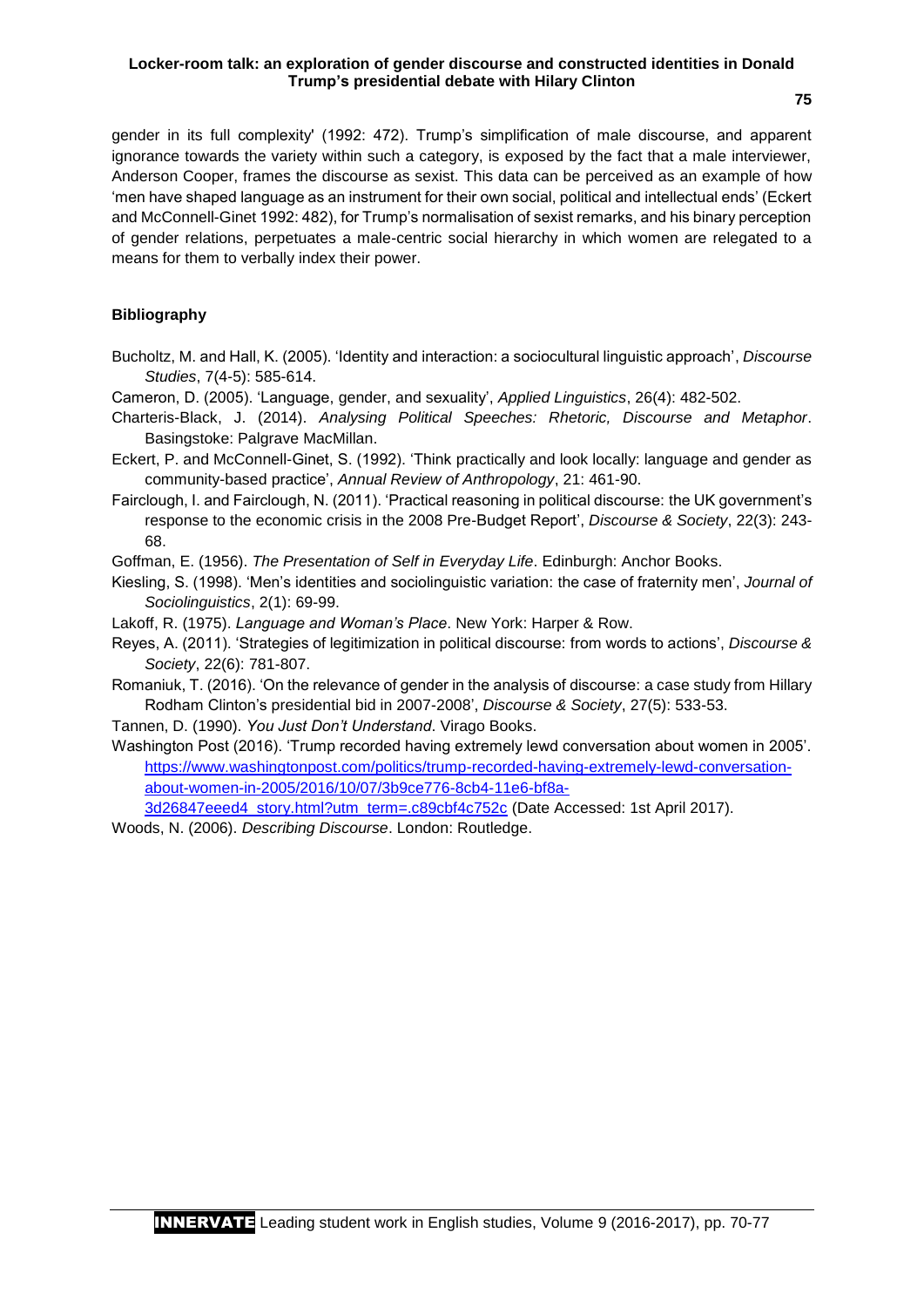**75**

gender in its full complexity' (1992: 472). Trump's simplification of male discourse, and apparent ignorance towards the variety within such a category, is exposed by the fact that a male interviewer, Anderson Cooper, frames the discourse as sexist. This data can be perceived as an example of how 'men have shaped language as an instrument for their own social, political and intellectual ends' (Eckert and McConnell-Ginet 1992: 482), for Trump's normalisation of sexist remarks, and his binary perception of gender relations, perpetuates a male-centric social hierarchy in which women are relegated to a means for them to verbally index their power.

## **Bibliography**

- Bucholtz, M. and Hall, K. (2005). 'Identity and interaction: a sociocultural linguistic approach', *Discourse Studies*, 7(4-5): 585-614.
- Cameron, D. (2005). 'Language, gender, and sexuality', *Applied Linguistics*, 26(4): 482-502.
- Charteris-Black, J. (2014). *Analysing Political Speeches: Rhetoric, Discourse and Metaphor*. Basingstoke: Palgrave MacMillan.
- Eckert, P. and McConnell-Ginet, S. (1992). 'Think practically and look locally: language and gender as community-based practice', *Annual Review of Anthropology*, 21: 461-90.
- Fairclough, I. and Fairclough, N. (2011). 'Practical reasoning in political discourse: the UK government's response to the economic crisis in the 2008 Pre-Budget Report', *Discourse & Society*, 22(3): 243- 68.

Goffman, E. (1956). *The Presentation of Self in Everyday Life*. Edinburgh: Anchor Books.

- Kiesling, S. (1998). 'Men's identities and sociolinguistic variation: the case of fraternity men', *Journal of Sociolinguistics*, 2(1): 69-99.
- Lakoff, R. (1975). *Language and Woman's Place*. New York: Harper & Row.
- Reyes, A. (2011). 'Strategies of legitimization in political discourse: from words to actions', *Discourse & Society*, 22(6): 781-807.
- Romaniuk, T. (2016). 'On the relevance of gender in the analysis of discourse: a case study from Hillary Rodham Clinton's presidential bid in 2007-2008', *Discourse & Society*, 27(5): 533-53.
- Tannen, D. (1990). *You Just Don't Understand*. Virago Books.
- Washington Post (2016). 'Trump recorded having extremely lewd conversation about women in 2005'. [https://www.washingtonpost.com/politics/trump-recorded-having-extremely-lewd-conversation](https://www.washingtonpost.com/politics/trump-recorded-having-extremely-lewd-conversation-about-women-in-2005/2016/10/07/3b9ce776-8cb4-11e6-bf8a-3d26847eeed4_story.html?utm_term=.c89cbf4c752c)[about-women-in-2005/2016/10/07/3b9ce776-8cb4-11e6-bf8a-](https://www.washingtonpost.com/politics/trump-recorded-having-extremely-lewd-conversation-about-women-in-2005/2016/10/07/3b9ce776-8cb4-11e6-bf8a-3d26847eeed4_story.html?utm_term=.c89cbf4c752c)[3d26847eeed4\\_story.html?utm\\_term=.c89cbf4c752c](https://www.washingtonpost.com/politics/trump-recorded-having-extremely-lewd-conversation-about-women-in-2005/2016/10/07/3b9ce776-8cb4-11e6-bf8a-3d26847eeed4_story.html?utm_term=.c89cbf4c752c) (Date Accessed: 1st April 2017).
- 
- Woods, N. (2006). *Describing Discourse*. London: Routledge.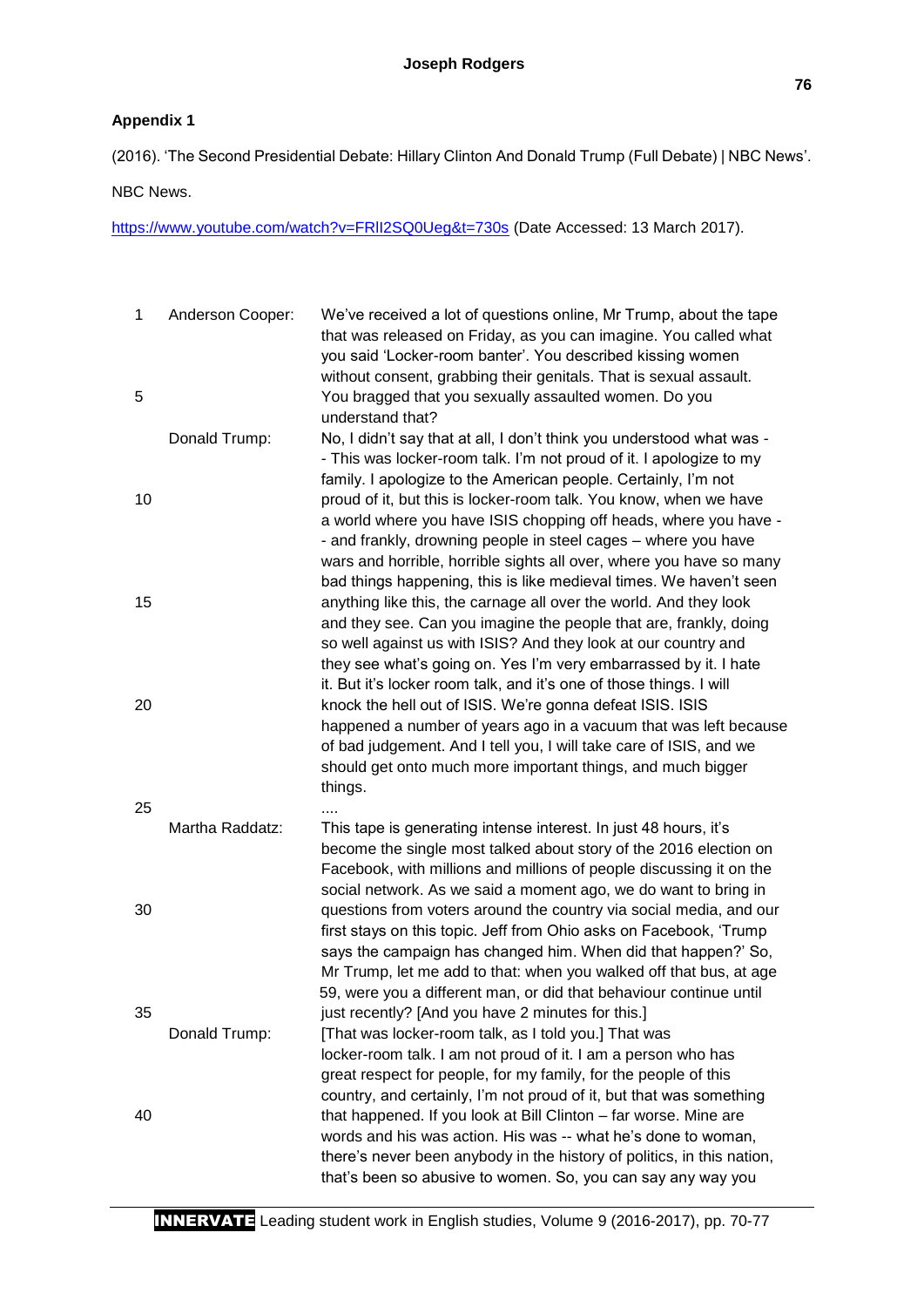# **Appendix 1**

(2016). 'The Second Presidential Debate: Hillary Clinton And Donald Trump (Full Debate) | NBC News'.

NBC News.

https://www.youtube.com/watch?v=FRII2SQ0Ueg&t=730s (Date Accessed: 13 March 2017).

| $\mathbf 1$<br>5 | Anderson Cooper: | We've received a lot of questions online, Mr Trump, about the tape<br>that was released on Friday, as you can imagine. You called what<br>you said 'Locker-room banter'. You described kissing women<br>without consent, grabbing their genitals. That is sexual assault.<br>You bragged that you sexually assaulted women. Do you                    |
|------------------|------------------|-------------------------------------------------------------------------------------------------------------------------------------------------------------------------------------------------------------------------------------------------------------------------------------------------------------------------------------------------------|
|                  | Donald Trump:    | understand that?<br>No, I didn't say that at all, I don't think you understood what was -                                                                                                                                                                                                                                                             |
|                  |                  | - This was locker-room talk. I'm not proud of it. I apologize to my<br>family. I apologize to the American people. Certainly, I'm not                                                                                                                                                                                                                 |
| 10               |                  | proud of it, but this is locker-room talk. You know, when we have<br>a world where you have ISIS chopping off heads, where you have -<br>- and frankly, drowning people in steel cages - where you have<br>wars and horrible, horrible sights all over, where you have so many<br>bad things happening, this is like medieval times. We haven't seen  |
| 15               |                  | anything like this, the carnage all over the world. And they look<br>and they see. Can you imagine the people that are, frankly, doing<br>so well against us with ISIS? And they look at our country and<br>they see what's going on. Yes I'm very embarrassed by it. I hate<br>it. But it's locker room talk, and it's one of those things. I will   |
| 20               |                  | knock the hell out of ISIS. We're gonna defeat ISIS. ISIS<br>happened a number of years ago in a vacuum that was left because<br>of bad judgement. And I tell you, I will take care of ISIS, and we<br>should get onto much more important things, and much bigger<br>things.                                                                         |
| 25               | Martha Raddatz:  | This tape is generating intense interest. In just 48 hours, it's<br>become the single most talked about story of the 2016 election on<br>Facebook, with millions and millions of people discussing it on the<br>social network. As we said a moment ago, we do want to bring in                                                                       |
| 30               |                  | questions from voters around the country via social media, and our<br>first stays on this topic. Jeff from Ohio asks on Facebook, 'Trump<br>says the campaign has changed him. When did that happen?' So,<br>Mr Trump, let me add to that: when you walked off that bus, at age<br>59, were you a different man, or did that behaviour continue until |
| 35               | Donald Trump:    | just recently? [And you have 2 minutes for this.]<br>[That was locker-room talk, as I told you.] That was                                                                                                                                                                                                                                             |
|                  |                  | locker-room talk. I am not proud of it. I am a person who has<br>great respect for people, for my family, for the people of this<br>country, and certainly, I'm not proud of it, but that was something                                                                                                                                               |
| 40               |                  | that happened. If you look at Bill Clinton - far worse. Mine are<br>words and his was action. His was -- what he's done to woman,<br>there's never been anybody in the history of politics, in this nation,<br>that's been so abusive to women. So, you can say any way you                                                                           |